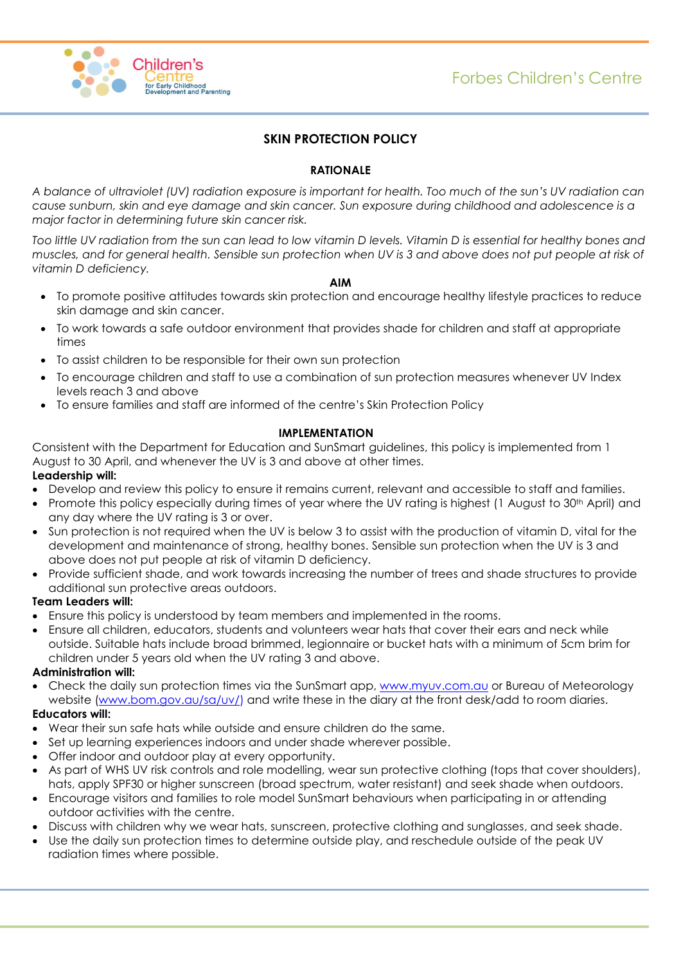



# **SKIN PROTECTION POLICY**

# **RATIONALE**

*A balance of ultraviolet (UV) radiation exposure is important for health. Too much of the sun's UV radiation can cause sunburn, skin and eye damage and skin cancer. Sun exposure during childhood and adolescence is a major factor in determining future skin cancer risk.*

*Too little UV radiation from the sun can lead to low vitamin D levels. Vitamin D is essential for healthy bones and muscles, and for general health. Sensible sun protection when UV is 3 and above does not put people at risk of vitamin D deficiency.*

### **AIM**

- To promote positive attitudes towards skin protection and encourage healthy lifestyle practices to reduce skin damage and skin cancer.
- To work towards a safe outdoor environment that provides shade for children and staff at appropriate times
- To assist children to be responsible for their own sun protection
- To encourage children and staff to use a combination of sun protection measures whenever UV Index levels reach 3 and above
- To ensure families and staff are informed of the centre's Skin Protection Policy

# **IMPLEMENTATION**

Consistent with the Department for Education and SunSmart guidelines, this policy is implemented from 1 August to 30 April, and whenever the UV is 3 and above at other times.

# **Leadership will:**

- Develop and review this policy to ensure it remains current, relevant and accessible to staff and families.
- Promote this policy especially during times of year where the UV rating is highest (1 August to 30<sup>th</sup> April) and any day where the UV rating is 3 or over.
- Sun protection is not required when the UV is below 3 to assist with the production of vitamin D, vital for the development and maintenance of strong, healthy bones. Sensible sun protection when the UV is 3 and above does not put people at risk of vitamin D deficiency.
- Provide sufficient shade, and work towards increasing the number of trees and shade structures to provide additional sun protective areas outdoors.

## **Team Leaders will:**

- Ensure this policy is understood by team members and implemented in the rooms.
- Ensure all children, educators, students and volunteers wear hats that cover their ears and neck while outside. Suitable hats include broad brimmed, legionnaire or bucket hats with a minimum of 5cm brim for children under 5 years old when the UV rating 3 and above.

## **Administration will:**

Check the daily sun protection times via the SunSmart app, [www.myuv.com.au](http://www.myuv.com.au/) or Bureau of Meteorology website [\(www.bom.gov.au/](http://www.bom.gov.au/)sa/uv/) and write these in the diary at the front desk/add to room diaries.

## **Educators will:**

- Wear their sun safe hats while outside and ensure children do the same.
- Set up learning experiences indoors and under shade wherever possible.
- Offer indoor and outdoor play at every opportunity.
- As part of WHS UV risk controls and role modelling, wear sun protective clothing (tops that cover shoulders), hats, apply SPF30 or higher sunscreen (broad spectrum, water resistant) and seek shade when outdoors.
- Encourage visitors and families to role model SunSmart behaviours when participating in or attending outdoor activities with the centre.
- Discuss with children why we wear hats, sunscreen, protective clothing and sunglasses, and seek shade.
- Use the daily sun protection times to determine outside play, and reschedule outside of the peak UV radiation times where possible.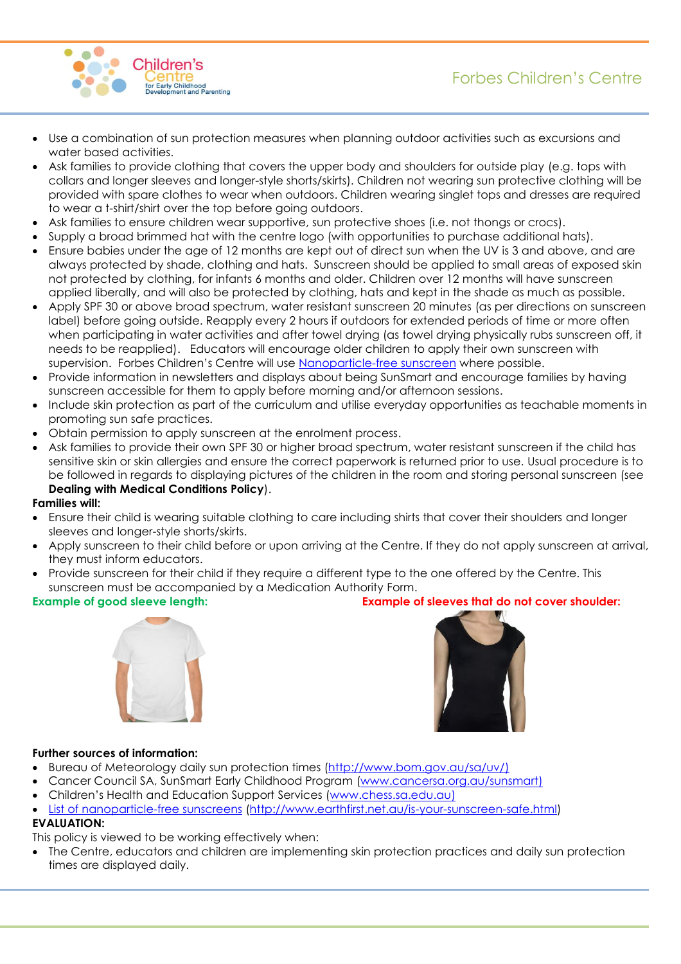Forbes Children's Centre



- Use a combination of sun protection measures when planning outdoor activities such as excursions and water based activities.
- Ask families to provide clothing that covers the upper body and shoulders for outside play (e.g. tops with collars and longer sleeves and longer-style shorts/skirts). Children not wearing sun protective clothing will be provided with spare clothes to wear when outdoors. Children wearing singlet tops and dresses are required to wear a t-shirt/shirt over the top before going outdoors.
- Ask families to ensure children wear supportive, sun protective shoes (i.e. not thongs or crocs).
- Supply a broad brimmed hat with the centre logo (with opportunities to purchase additional hats).
- Ensure babies under the age of 12 months are kept out of direct sun when the UV is 3 and above, and are always protected by shade, clothing and hats. Sunscreen should be applied to small areas of exposed skin not protected by clothing, for infants 6 months and older. Children over 12 months will have sunscreen applied liberally, and will also be protected by clothing, hats and kept in the shade as much as possible.
- Apply SPF 30 or above broad spectrum, water resistant sunscreen 20 minutes (as per directions on sunscreen label) before going outside. Reapply every 2 hours if outdoors for extended periods of time or more often when participating in water activities and after towel drying (as towel drying physically rubs sunscreen off, it needs to be reapplied). Educators will encourage older children to apply their own sunscreen with supervision. Forbes Children's Centre will use [Nanoparticle-free sunscreen](http://www.cancer.org.au/preventing-cancer/sun-protection/nanoparticles-and-sunscreen.html) where possible.
- Provide information in newsletters and displays about being SunSmart and encourage families by having sunscreen accessible for them to apply before morning and/or afternoon sessions.
- Include skin protection as part of the curriculum and utilise everyday opportunities as teachable moments in promoting sun safe practices.
- Obtain permission to apply sunscreen at the enrolment process.
- Ask families to provide their own SPF 30 or higher broad spectrum, water resistant sunscreen if the child has sensitive skin or skin allergies and ensure the correct paperwork is returned prior to use. Usual procedure is to be followed in regards to displaying pictures of the children in the room and storing personal sunscreen (see **Dealing with Medical Conditions Policy**).

### **Families will:**

- Ensure their child is wearing suitable clothing to care including shirts that cover their shoulders and longer sleeves and longer-style shorts/skirts.
- Apply sunscreen to their child before or upon arriving at the Centre. If they do not apply sunscreen at arrival, they must inform educators.
- Provide sunscreen for their child if they require a different type to the one offered by the Centre. This sunscreen must be accompanied by a Medication Authority Form.



### **Example of good sleeve length: Example of sleeves that do not cover shoulder:**



### **Further sources of information:**

- Bureau of Meteorology daily sun protection times [\(http://www.bom.gov.au/sa/uv/\)](http://www.bom.gov.au/sa/uv/)
- Cancer Council SA, SunSmart Early Childhood Program [\(www.cancersa.org.au/sunsmart\)](http://www.cancersa.org.au/sunsmart)
- Children's Health and Education Support Services ([www.chess.sa.edu.au\)](http://www.chess.sa.edu.au/)
- [List of nanoparticle-free sunscreens](http://www.earthfirst.net.au/is-your-sunscreen-safe.html) [\(http://www.earthfirst.net.au/is-your-sunscreen-safe.html\)](http://www.earthfirst.net.au/is-your-sunscreen-safe.html)

# **EVALUATION:**

This policy is viewed to be working effectively when:

• The Centre, educators and children are implementing skin protection practices and daily sun protection times are displayed daily.